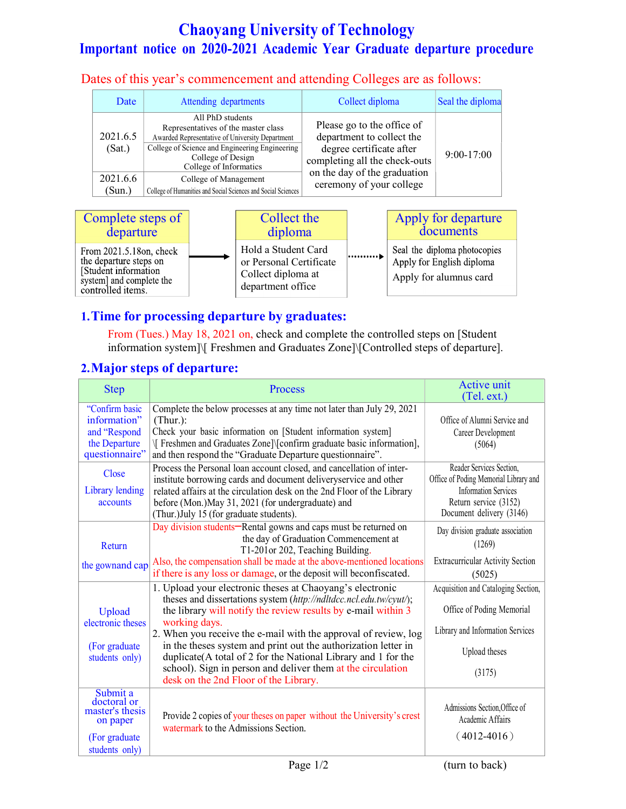# Chaoyang University of Technology Important notice on 2020-2021 Academic Year Graduate departure procedure

Dates of this year's commencement and attending Colleges are as follows:

| Date               | Attending departments                                                                                                                                                                                       | Collect diploma                                                                                                                                      | Seal the diploma |
|--------------------|-------------------------------------------------------------------------------------------------------------------------------------------------------------------------------------------------------------|------------------------------------------------------------------------------------------------------------------------------------------------------|------------------|
| 2021.6.5<br>(Sat.) | All PhD students<br>Representatives of the master class<br>Awarded Representative of University Department<br>College of Science and Engineering Engineering<br>College of Design<br>College of Informatics | Please go to the office of<br>department to collect the<br>degree certificate after<br>completing all the check-outs<br>on the day of the graduation | $9:00-17:00$     |
| 2021.6.6           | College of Management                                                                                                                                                                                       | ceremony of your college                                                                                                                             |                  |
| (Sun.)             | College of Humanities and Social Sciences and Social Sciences                                                                                                                                               |                                                                                                                                                      |                  |



### 1.Time for processing departure by graduates:

From (Tues.) May 18, 2021 on, check and complete the controlled steps on [Student information system]\[ Freshmen and Graduates Zone]\[Controlled steps of departure].

#### 2.Major steps of departure:

| <b>Step</b>                                                                                | Process                                                                                                                                                                                                                                                                                                                                                                                                                                                                                                                         | Active unit<br>(Tel. ext.)                                                                                                                            |
|--------------------------------------------------------------------------------------------|---------------------------------------------------------------------------------------------------------------------------------------------------------------------------------------------------------------------------------------------------------------------------------------------------------------------------------------------------------------------------------------------------------------------------------------------------------------------------------------------------------------------------------|-------------------------------------------------------------------------------------------------------------------------------------------------------|
| "Confirm basic<br>information"<br>and "Respond<br>the Departure<br>questionnaire"          | Complete the below processes at any time not later than July 29, 2021<br>$(Thur.)$ :<br>Check your basic information on [Student information system]<br>√ Freshmen and Graduates Zone]\[confirm graduate basic information],<br>and then respond the "Graduate Departure questionnaire".                                                                                                                                                                                                                                        | Office of Alumni Service and<br>Career Development<br>(5064)                                                                                          |
| Close<br>Library lending<br>accounts                                                       | Process the Personal loan account closed, and cancellation of inter-<br>institute borrowing cards and document deliveryservice and other<br>related affairs at the circulation desk on the 2nd Floor of the Library<br>before (Mon.) May 31, 2021 (for undergraduate) and<br>(Thur.) July 15 (for graduate students).                                                                                                                                                                                                           | Reader Services Section,<br>Office of Poding Memorial Library and<br><b>Information Services</b><br>Return service (3152)<br>Document delivery (3146) |
| Return<br>the gownand cap                                                                  | Day division students-Rental gowns and caps must be returned on<br>the day of Graduation Commencement at<br>T1-201 or 202, Teaching Building.<br>Also, the compensation shall be made at the above-mentioned locations<br>if there is any loss or damage, or the deposit will beconfiscated.                                                                                                                                                                                                                                    | Day division graduate association<br>(1269)<br><b>Extracurricular Activity Section</b><br>(5025)                                                      |
| Upload<br>electronic theses<br>(For graduate)<br>students only)                            | 1. Upload your electronic theses at Chaoyang's electronic<br>theses and dissertations system (http://ndltdcc.ncl.edu.tw/cyut/);<br>the library will notify the review results by e-mail within 3<br>working days.<br>2. When you receive the e-mail with the approval of review, log<br>in the theses system and print out the authorization letter in<br>duplicate(A total of 2 for the National Library and 1 for the<br>school). Sign in person and deliver them at the circulation<br>desk on the 2nd Floor of the Library. | Acquisition and Cataloging Section,<br>Office of Poding Memorial<br>Library and Information Services<br>Upload theses<br>(3175)                       |
| Submit a<br>doctoral or<br>master's thesis<br>on paper<br>(For graduate)<br>students only) | Provide 2 copies of your theses on paper without the University's crest<br>watermark to the Admissions Section.                                                                                                                                                                                                                                                                                                                                                                                                                 | Admissions Section, Office of<br>Academic Affairs<br>$(4012 - 4016)$                                                                                  |